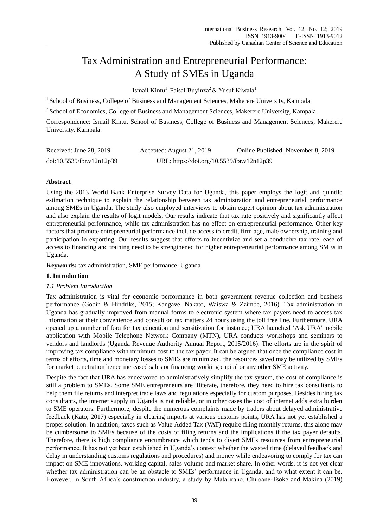# Tax Administration and Entrepreneurial Performance: A Study of SMEs in Uganda

Ismail Kintu<sup>1</sup>, Faisal Buyinza<sup>2</sup> & Yusuf Kiwala<sup>1</sup>

<sup>1,</sup>School of Business, College of Business and Management Sciences, Makerere University, Kampala

<sup>2</sup> School of Economics, College of Business and Management Sciences, Makerere University, Kampala

Correspondence: Ismail Kintu, School of Business, College of Business and Management Sciences, Makerere University, Kampala.

| Received: June 28, 2019   | Accepted: August 21, 2019                  | Online Published: November 8, 2019 |
|---------------------------|--------------------------------------------|------------------------------------|
| doi:10.5539/ibr.v12n12p39 | URL: https://doi.org/10.5539/ibr.v12n12p39 |                                    |

# **Abstract**

Using the 2013 World Bank Enterprise Survey Data for Uganda, this paper employs the logit and quintile estimation technique to explain the relationship between tax administration and entrepreneurial performance among SMEs in Uganda. The study also employed interviews to obtain expert opinion about tax administration and also explain the results of logit models. Our results indicate that tax rate positively and significantly affect entrepreneurial performance, while tax administration has no effect on entrepreneurial performance. Other key factors that promote entrepreneurial performance include access to credit, firm age, male ownership, training and participation in exporting. Our results suggest that efforts to incentivize and set a conducive tax rate, ease of access to financing and training need to be strengthened for higher entrepreneurial performance among SMEs in Uganda.

**Keywords:** tax administration, SME performance, Uganda

# **1. Introduction**

# *1.1 Problem Introduction*

Tax administration is vital for economic performance in both government revenue collection and business performance (Godin & Hindriks, 2015; Kangave, Nakato, Waiswa & Zzimbe, 2016). Tax administration in Uganda has gradually improved from manual forms to electronic system where tax payers need to access tax information at their convenience and consult on tax matters 24 hours using the toll free line. Furthermore, URA opened up a number of fora for tax education and sensitization for instance; URA launched 'Ask URA' mobile application with Mobile Telephone Network Company (MTN), URA conducts workshops and seminars to vendors and landlords (Uganda Revenue Authority Annual Report, 2015/2016). The efforts are in the spirit of improving tax compliance with minimum cost to the tax payer. It can be argued that once the compliance cost in terms of efforts, time and monetary losses to SMEs are minimized, the resources saved may be utilized by SMEs for market penetration hence increased sales or financing working capital or any other SME activity.

Despite the fact that URA has endeavored to administratively simplify the tax system, the cost of compliance is still a problem to SMEs. Some SME entrepreneurs are illiterate, therefore, they need to hire tax consultants to help them file returns and interpret trade laws and regulations especially for custom purposes. Besides hiring tax consultants, the internet supply in Uganda is not reliable, or in other cases the cost of internet adds extra burden to SME operators. Furthermore, despite the numerous complaints made by traders about delayed administrative feedback (Kato, 2017) especially in clearing imports at various customs points, URA has not yet established a proper solution. In addition, taxes such as Value Added Tax (VAT) require filing monthly returns, this alone may be cumbersome to SMEs because of the costs of filing returns and the implications if the tax payer defaults. Therefore, there is high compliance encumbrance which tends to divert SMEs resources from entrepreneurial performance. It has not yet been established in Uganda's context whether the wasted time (delayed feedback and delay in understanding customs regulations and procedures) and money while endeavoring to comply for tax can impact on SME innovations, working capital, sales volume and market share. In other words, it is not yet clear whether tax administration can be an obstacle to SMEs' performance in Uganda, and to what extent it can be. However, in South Africa's construction industry, a study by Matarirano, Chiloane-Tsoke and Makina (2019)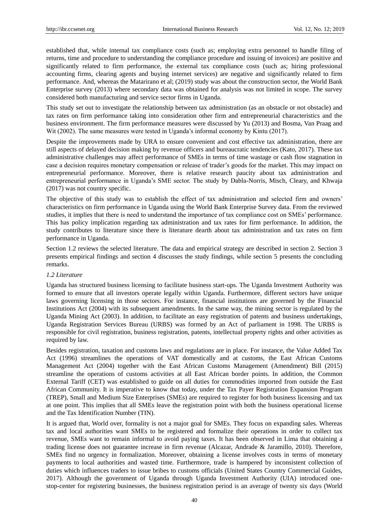established that, while internal tax compliance costs (such as; employing extra personnel to handle filing of returns, time and procedure to understanding the compliance procedure and issuing of invoices) are positive and significantly related to firm performance, the external tax compliance costs (such as; hiring professional accounting firms, clearing agents and buying internet services) are negative and significantly related to firm performance. And, whereas the Matarirano et al; (2019) study was about the construction sector, the World Bank Enterprise survey (2013) where secondary data was obtained for analysis was not limited in scope. The survey considered both manufacturing and service sector firms in Uganda.

This study set out to investigate the relationship between tax administration (as an obstacle or not obstacle) and tax rates on firm performance taking into consideration other firm and entrepreneurial characteristics and the business environment. The firm performance measures were discussed by Yu (2013) and Bosma, Van Praag and Wit (2002). The same measures were tested in Uganda's informal economy by Kintu (2017).

Despite the improvements made by URA to ensure convenient and cost effective tax administration, there are still aspects of delayed decision making by revenue officers and bureaucratic tendencies (Kato, 2017). These tax administrative challenges may affect performance of SMEs in terms of time wastage or cash flow stagnation in case a decision requires monetary compensation or release of trader's goods for the market. This may impact on entrepreneurial performance. Moreover, there is relative research paucity about tax administration and entrepreneurial performance in Uganda's SME sector. The study by Dabla-Norris, Misch, Cleary, and Khwaja (2017) was not country specific.

The objective of this study was to establish the effect of tax administration and selected firm and owners' characteristics on firm performance in Uganda using the World Bank Enterprise Survey data. From the reviewed studies, it implies that there is need to understand the importance of tax compliance cost on SMEs' performance. This has policy implication regarding tax administration and tax rates for firm performance. In addition, the study contributes to literature since there is literature dearth about tax administration and tax rates on firm performance in Uganda.

Section 1.2 reviews the selected literature. The data and empirical strategy are described in section 2. Section 3 presents empirical findings and section 4 discusses the study findings, while section 5 presents the concluding remarks.

# *1.2 Literature*

Uganda has structured business licensing to facilitate business start-ups. The Uganda Investment Authority was formed to ensure that all investors operate legally within Uganda. Furthermore, different sectors have unique laws governing licensing in those sectors. For instance, financial institutions are governed by the Financial Institutions Act (2004) with its subsequent amendments. In the same way, the mining sector is regulated by the Uganda Mining Act (2003). In addition, to facilitate an easy registration of patents and business undertakings, Uganda Registration Services Bureau (URBS) was formed by an Act of parliament in 1998. The URBS is responsible for civil registration, business registration, patents, intellectual property rights and other activities as required by law.

Besides registration, taxation and customs laws and regulations are in place. For instance, the Value Added Tax Act (1996) streamlines the operations of VAT domestically and at customs, the East African Customs Management Act (2004) together with the East African Customs Management (Amendment) Bill (2015) streamline the operations of customs activities at all East African border points. In addition, the Common External Tariff (CET) was established to guide on all duties for commodities imported from outside the East African Community. It is imperative to know that today, under the Tax Payer Registration Expansion Program (TREP), Small and Medium Size Enterprises (SMEs) are required to register for both business licensing and tax at one point. This implies that all SMEs leave the registration point with both the business operational license and the Tax Identification Number (TIN).

It is argued that, World over, formality is not a major goal for SMEs. They focus on expanding sales. Whereas tax and local authorities want SMEs to be registered and formalize their operations in order to collect tax revenue, SMEs want to remain informal to avoid paying taxes. It has been observed in Lima that obtaining a trading license does not guarantee increase in firm revenue (Alcazar, Andrade & Jaramillo, 2010). Therefore, SMEs find no urgency in formalization. Moreover, obtaining a license involves costs in terms of monetary payments to local authorities and wasted time. Furthermore, trade is hampered by inconsistent collection of duties which influences traders to issue bribes to customs officials (United States Country Commercial Guides, 2017). Although the government of Uganda through Uganda Investment Authority (UIA) introduced onestop-center for registering businesses, the business registration period is an average of twenty six days (World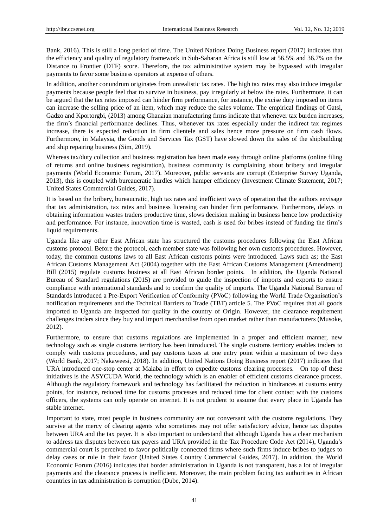Bank, 2016). This is still a long period of time. The United Nations Doing Business report (2017) indicates that the efficiency and quality of regulatory framework in Sub-Saharan Africa is still low at 56.5% and 36.7% on the Distance to Frontier (DTF) score. Therefore, the tax administrative system may be bypassed with irregular payments to favor some business operators at expense of others.

In addition, another conundrum originates from unrealistic tax rates. The high tax rates may also induce irregular payments because people feel that to survive in business, pay irregularly at below the rates. Furthermore, it can be argued that the tax rates imposed can hinder firm performance, for instance, the excise duty imposed on items can increase the selling price of an item, which may reduce the sales volume. The empirical findings of Gatsi, Gadzo and Kportorgbi, (2013) among Ghanaian manufacturing firms indicate that whenever tax burden increases, the firm's financial performance declines. Thus, whenever tax rates especially under the indirect tax regimes increase, there is expected reduction in firm clientele and sales hence more pressure on firm cash flows. Furthermore, in Malaysia, the Goods and Services Tax (GST) have slowed down the sales of the shipbuilding and ship repairing business (Sim, 2019).

Whereas tax/duty collection and business registration has been made easy through online platforms (online filing of returns and online business registration), business community is complaining about bribery and irregular payments (World Economic Forum, 2017). Moreover, public servants are corrupt (Enterprise Survey Uganda, 2013), this is coupled with bureaucratic hurdles which hamper efficiency (Investment Climate Statement, 2017; United States Commercial Guides, 2017).

It is based on the bribery, bureaucratic, high tax rates and inefficient ways of operation that the authors envisage that tax administration, tax rates and business licensing can hinder firm performance. Furthermore, delays in obtaining information wastes traders productive time, slows decision making in business hence low productivity and performance. For instance, innovation time is wasted, cash is used for bribes instead of funding the firm's liquid requirements.

Uganda like any other East African state has structured the customs procedures following the East African customs protocol. Before the protocol, each member state was following her own customs procedures. However, today, the common customs laws to all East African customs points were introduced. Laws such as; the East African Customs Management Act (2004) together with the East African Customs Management (Amendment) Bill (2015) regulate customs business at all East African border points. In addition, the Uganda National Bureau of Standard regulations (2015) are provided to guide the inspection of imports and exports to ensure compliance with international standards and to confirm the quality of imports. The Uganda National Bureau of Standards introduced a Pre-Export Verification of Conformity (PVoC) following the World Trade Organisation's notification requirements and the Technical Barriers to Trade (TBT) article 5. The PVoC requires that all goods imported to Uganda are inspected for quality in the country of Origin. However, the clearance requirement challenges traders since they buy and import merchandise from open market rather than manufacturers (Musoke, 2012).

Furthermore, to ensure that customs regulations are implemented in a proper and efficient manner, new technology such as single customs territory has been introduced. The single customs territory enables traders to comply with customs procedures, and pay customs taxes at one entry point within a maximum of two days (World Bank, 2017; Nakaweesi, 2018). In addition, United Nations Doing Business report (2017) indicates that URA introduced one-stop center at Malaba in effort to expedite customs clearing processes. On top of these initiatives is the ASYCUDA World, the technology which is an enabler of efficient customs clearance process. Although the regulatory framework and technology has facilitated the reduction in hindrances at customs entry points, for instance, reduced time for customs processes and reduced time for client contact with the customs officers, the systems can only operate on internet. It is not prudent to assume that every place in Uganda has stable internet.

Important to state, most people in business community are not conversant with the customs regulations. They survive at the mercy of clearing agents who sometimes may not offer satisfactory advice, hence tax disputes between URA and the tax payer. It is also important to understand that although Uganda has a clear mechanism to address tax disputes between tax payers and URA provided in the Tax Procedure Code Act (2014), Uganda's commercial court is perceived to favor politically connected firms where such firms induce bribes to judges to delay cases or rule in their favor (United States Country Commercial Guides, 2017). In addition, the World Economic Forum (2016) indicates that border administration in Uganda is not transparent, has a lot of irregular payments and the clearance process is inefficient. Moreover, the main problem facing tax authorities in African countries in tax administration is corruption (Dube, 2014).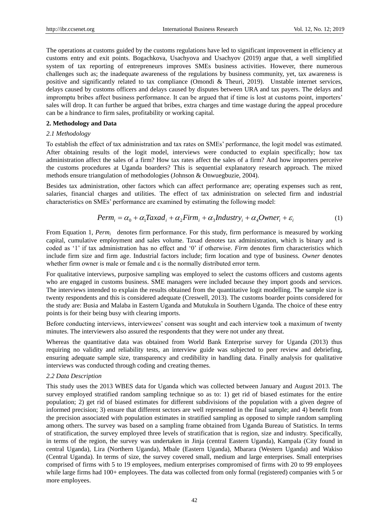The operations at customs guided by the customs regulations have led to significant improvement in efficiency at customs entry and exit points. Bogachkova, Usachyova and Usachyov (2019) argue that, a well simplified system of tax reporting of entrepreneurs improves SMEs business activities. However, there numerous challenges such as; the inadequate awareness of the regulations by business community, yet, tax awareness is positive and significantly related to tax compliance (Omondi & Theuri, 2019). Unstable internet services, delays caused by customs officers and delays caused by disputes between URA and tax payers. The delays and impromptu bribes affect business performance. It can be argued that if time is lost at customs point, importers' sales will drop. It can further be argued that bribes, extra charges and time wastage during the appeal procedure can be a hindrance to firm sales, profitability or working capital.

#### **2. Methodology and Data**

#### *2.1 Methodology*

To establish the effect of tax administration and tax rates on SMEs' performance, the logit model was estimated. After obtaining results of the logit model, interviews were conducted to explain specifically; how tax administration affect the sales of a firm? How tax rates affect the sales of a firm? And how importers perceive the customs procedures at Uganda boarders? This is sequential explanatory research approach. The mixed methods ensure triangulation of methodologies (Johnson & Onwuegbuzie, 2004).

Besides tax administration, other factors which can affect performance are; operating expenses such as rent, salaries, financial charges and utilities. The effect of tax administration on selected firm and industrial characteristics on SMEs' performance are examined by estimating the following model:

$$
Perm_i = \alpha_0 + \alpha_1 Taxad_i + \alpha_2 Firm_i + \alpha_3 Industry_i + \alpha_4Owner_i + \varepsilon_i
$$
 (1)

From Equation 1, *Perm<sub>i</sub>* denotes firm performance. For this study, firm performance is measured by working capital, cumulative employment and sales volume. Taxad denotes tax administration, which is binary and is coded as '1' if tax administration has no effect and '0' if otherwise. *Firm* denotes firm characteristics which include firm size and firm age. Industrial factors include; firm location and type of business. *Owner* denotes whether firm owner is male or female and ε is the normally distributed error term.

For qualitative interviews, purposive sampling was employed to select the customs officers and customs agents who are engaged in customs business. SME managers were included because they import goods and services. The interviews intended to explain the results obtained from the quantitative logit modelling. The sample size is twenty respondents and this is considered adequate (Creswell, 2013). The customs boarder points considered for the study are: Busia and Malaba in Eastern Uganda and Mutukula in Southern Uganda. The choice of these entry points is for their being busy with clearing imports.

Before conducting interviews, interviewees' consent was sought and each interview took a maximum of twenty minutes. The interviewers also assured the respondents that they were not under any threat.

Whereas the quantitative data was obtained from World Bank Enterprise survey for Uganda (2013) thus requiring no validity and reliability tests, an interview guide was subjected to peer review and debriefing, ensuring adequate sample size, transparency and credibility in handling data. Finally analysis for qualitative interviews was conducted through coding and creating themes.

#### *2.2 Data Description*

This study uses the 2013 WBES data for Uganda which was collected between January and August 2013. The survey employed stratified random sampling technique so as to: 1) get rid of biased estimates for the entire population; 2) get rid of biased estimates for different subdivisions of the population with a given degree of informed precision; 3) ensure that different sectors are well represented in the final sample; and 4) benefit from the precision associated with population estimates in stratified sampling as opposed to simple random sampling among others. The survey was based on a sampling frame obtained from Uganda Bureau of Statistics. In terms of stratification, the survey employed three levels of stratification that is region, size and industry. Specifically, in terms of the region, the survey was undertaken in Jinja (central Eastern Uganda), Kampala (City found in central Uganda), Lira (Northern Uganda), Mbale (Eastern Uganda), Mbarara (Western Uganda) and Wakiso (Central Uganda). In terms of size, the survey covered small, medium and large enterprises. Small enterprises comprised of firms with 5 to 19 employees, medium enterprises compromised of firms with 20 to 99 employees while large firms had 100+ employees. The data was collected from only formal (registered) companies with 5 or more employees.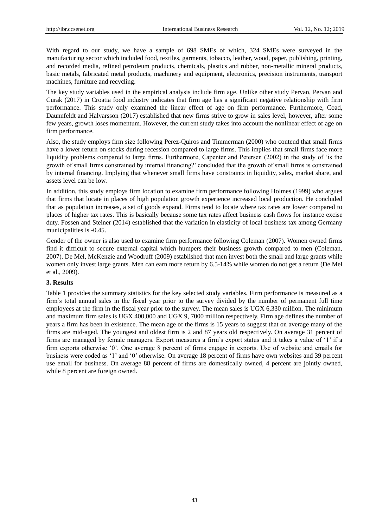With regard to our study, we have a sample of 698 SMEs of which, 324 SMEs were surveyed in the manufacturing sector which included food, textiles, garments, tobacco, leather, wood, paper, publishing, printing, and recorded media, refined petroleum products, chemicals, plastics and rubber, non-metallic mineral products, basic metals, fabricated metal products, machinery and equipment, electronics, precision instruments, transport machines, furniture and recycling.

The key study variables used in the empirical analysis include firm age. Unlike other study Pervan, Pervan and Curak (2017) in Croatia food industry indicates that firm age has a significant negative relationship with firm performance. This study only examined the linear effect of age on firm performance. Furthermore, Coad, Daunnfeldt and Halvarsson (2017) established that new firms strive to grow in sales level, however, after some few years, growth loses momentum. However, the current study takes into account the nonlinear effect of age on firm performance.

Also, the study employs firm size following Perez-Quiros and Timmerman (2000) who contend that small firms have a lower return on stocks during recession compared to large firms. This implies that small firms face more liquidity problems compared to large firms. Furthermore, Capenter and Petersen (2002) in the study of 'is the growth of small firms constrained by internal financing?' concluded that the growth of small firms is constrained by internal financing. Implying that whenever small firms have constraints in liquidity, sales, market share, and assets level can be low.

In addition, this study employs firm location to examine firm performance following Holmes (1999) who argues that firms that locate in places of high population growth experience increased local production. He concluded that as population increases, a set of goods expand. Firms tend to locate where tax rates are lower compared to places of higher tax rates. This is basically because some tax rates affect business cash flows for instance excise duty. Fossen and Steiner (2014) established that the variation in elasticity of local business tax among Germany municipalities is -0.45.

Gender of the owner is also used to examine firm performance following Coleman (2007). Women owned firms find it difficult to secure external capital which humpers their business growth compared to men (Coleman, 2007). De Mel, McKenzie and Woodruff (2009) established that men invest both the small and large grants while women only invest large grants. Men can earn more return by 6.5-14% while women do not get a return (De Mel et al., 2009).

#### **3. Results**

Table 1 provides the summary statistics for the key selected study variables. Firm performance is measured as a firm's total annual sales in the fiscal year prior to the survey divided by the number of permanent full time employees at the firm in the fiscal year prior to the survey. The mean sales is UGX 6,330 million. The minimum and maximum firm sales is UGX 400,000 and UGX 9, 7000 million respectively. Firm age defines the number of years a firm has been in existence. The mean age of the firms is 15 years to suggest that on average many of the firms are mid-aged. The youngest and oldest firm is 2 and 87 years old respectively. On average 31 percent of firms are managed by female managers. Export measures a firm's export status and it takes a value of '1' if a firm exports otherwise '0'. One average 8 percent of firms engage in exports. Use of website and emails for business were coded as '1' and '0' otherwise. On average 18 percent of firms have own websites and 39 percent use email for business. On average 88 percent of firms are domestically owned, 4 percent are jointly owned, while 8 percent are foreign owned.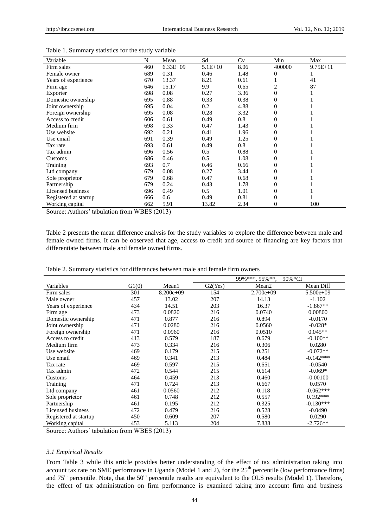| Variable              | N   | Mean       | Sd        | Cv   | Min          | Max          |
|-----------------------|-----|------------|-----------|------|--------------|--------------|
| Firm sales            | 460 | $6.33E+09$ | $5.1E+10$ | 8.06 | 400000       | $9.75E + 11$ |
| Female owner          | 689 | 0.31       | 0.46      | 1.48 | $\Omega$     |              |
| Years of experience   | 670 | 13.37      | 8.21      | 0.61 |              | 41           |
| Firm age              | 646 | 15.17      | 9.9       | 0.65 | 2            | 87           |
| Exporter              | 698 | 0.08       | 0.27      | 3.36 | $\Omega$     |              |
| Domestic ownership    | 695 | 0.88       | 0.33      | 0.38 | 0            |              |
| Joint ownership       | 695 | 0.04       | 0.2       | 4.88 | 0            |              |
| Foreign ownership     | 695 | 0.08       | 0.28      | 3.32 | 0            |              |
| Access to credit      | 606 | 0.61       | 0.49      | 0.8  | $\Omega$     |              |
| Medium firm           | 698 | 0.33       | 0.47      | 1.43 | $\mathbf{0}$ |              |
| Use website           | 692 | 0.21       | 0.41      | 1.96 | $\Omega$     |              |
| Use email             | 691 | 0.39       | 0.49      | 1.25 | 0            |              |
| Tax rate              | 693 | 0.61       | 0.49      | 0.8  | $\Omega$     |              |
| Tax admin             | 696 | 0.56       | 0.5       | 0.88 | $\Omega$     |              |
| Customs               | 686 | 0.46       | 0.5       | 1.08 | $\Omega$     |              |
| Training              | 693 | 0.7        | 0.46      | 0.66 | $\Omega$     |              |
| Ltd company           | 679 | 0.08       | 0.27      | 3.44 | 0            |              |
| Sole proprietor       | 679 | 0.68       | 0.47      | 0.68 | 0            |              |
| Partnership           | 679 | 0.24       | 0.43      | 1.78 | $\Omega$     |              |
| Licensed business     | 696 | 0.49       | 0.5       | 1.01 | $\Omega$     |              |
| Registered at startup | 666 | 0.6        | 0.49      | 0.81 | $\Omega$     |              |
| Working capital       | 662 | 5.91       | 13.82     | 2.34 | 0            | 100          |

Table 1. Summary statistics for the study variable

Source: Authors' tabulation from WBES (2013)

Table 2 presents the mean difference analysis for the study variables to explore the difference between male and female owned firms. It can be observed that age, access to credit and source of financing are key factors that differentiate between male and female owned firms.

|                       |       |             |         | $\overline{99}\%***$ , 95%**, | 90%*CI      |
|-----------------------|-------|-------------|---------|-------------------------------|-------------|
| Variables             | G1(0) | Mean1       | G2(Yes) | Mean <sub>2</sub>             | Mean Diff   |
| Firm sales            | 301   | $8.200e+09$ | 154     | $2.700e+09$                   | $5.500e+09$ |
| Male owner            | 457   | 13.02       | 207     | 14.13                         | $-1.102$    |
| Years of experience   | 434   | 14.51       | 203     | 16.37                         | $-1.867**$  |
| Firm age              | 473   | 0.0820      | 216     | 0.0740                        | 0.00800     |
| Domestic ownership    | 471   | 0.877       | 216     | 0.894                         | $-0.0170$   |
| Joint ownership       | 471   | 0.0280      | 216     | 0.0560                        | $-0.028*$   |
| Foreign ownership     | 471   | 0.0960      | 216     | 0.0510                        | $0.045**$   |
| Access to credit      | 413   | 0.579       | 187     | 0.679                         | $-0.100**$  |
| Medium firm           | 473   | 0.334       | 216     | 0.306                         | 0.0280      |
| Use website           | 469   | 0.179       | 215     | 0.251                         | $-0.072**$  |
| Use email             | 469   | 0.341       | 213     | 0.484                         | $-0.142***$ |
| Tax rate              | 469   | 0.597       | 215     | 0.651                         | $-0.0540$   |
| Tax admin             | 472   | 0.544       | 215     | 0.614                         | $-0.069*$   |
| Customs               | 464   | 0.459       | 213     | 0.460                         | $-0.00100$  |
| Training              | 471   | 0.724       | 213     | 0.667                         | 0.0570      |
| Ltd company           | 461   | 0.0560      | 212     | 0.118                         | $-0.062***$ |
| Sole proprietor       | 461   | 0.748       | 212     | 0.557                         | $0.192***$  |
| Partnership           | 461   | 0.195       | 212     | 0.325                         | $-0.130***$ |
| Licensed business     | 472   | 0.479       | 216     | 0.528                         | $-0.0490$   |
| Registered at startup | 450   | 0.609       | 207     | 0.580                         | 0.0290      |
| Working capital       | 453   | 5.113       | 204     | 7.838                         | $-2.726**$  |

Table 2. Summary statistics for differences between male and female firm owners

Source: Authors' tabulation from WBES (2013)

## *3.1 Empirical Results*

From Table 3 while this article provides better understanding of the effect of tax administration taking into account tax rate on SME performance in Uganda (Model 1 and 2), for the  $25<sup>th</sup>$  percentile (low performance firms) and 75<sup>th</sup> percentile. Note, that the 50<sup>th</sup> percentile results are equivalent to the OLS results (Model 1). Therefore, the effect of tax administration on firm performance is examined taking into account firm and business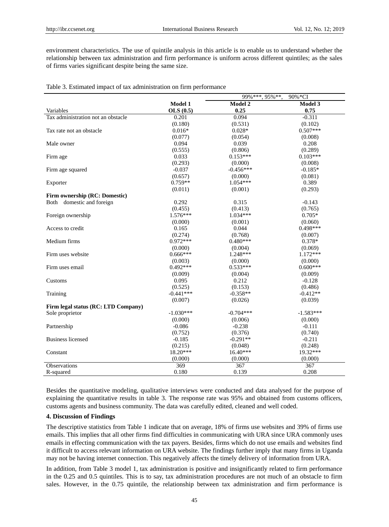environment characteristics. The use of quintile analysis in this article is to enable us to understand whether the relationship between tax administration and firm performance is uniform across different quintiles; as the sales of firms varies significant despite being the same size.

|                                     |             | $99\%$ ***, $95\%$ **. | 90%*CI      |
|-------------------------------------|-------------|------------------------|-------------|
|                                     | Model 1     | Model 2                | Model 3     |
| Variables                           | OLS(0.5)    | 0.25                   | 0.75        |
| Tax administration not an obstacle  | 0.201       | 0.094                  | $-0.311$    |
|                                     | (0.180)     | (0.531)                | (0.102)     |
| Tax rate not an obstacle            | $0.016*$    | $0.028*$               | $0.507***$  |
|                                     | (0.077)     | (0.054)                | (0.008)     |
| Male owner                          | 0.094       | 0.039                  | 0.208       |
|                                     | (0.555)     | (0.806)                | (0.289)     |
| Firm age                            | 0.033       | $0.153***$             | $0.103***$  |
|                                     | (0.293)     | (0.000)                | (0.008)     |
| Firm age squared                    | $-0.037$    | $-0.456***$            | $-0.185*$   |
|                                     | (0.657)     | (0.000)                | (0.081)     |
| Exporter                            | $0.759**$   | $1.054***$             | 0.389       |
|                                     | (0.011)     | (0.001)                | (0.293)     |
| Firm ownership (RC: Domestic)       |             |                        |             |
| Both domestic and foreign           | 0.292       | 0.315                  | $-0.143$    |
|                                     | (0.455)     | (0.413)                | (0.765)     |
| Foreign ownership                   | 1.576***    | $1.034***$             | $0.705*$    |
|                                     | (0.000)     | (0.001)                | (0.060)     |
| Access to credit                    | 0.165       | 0.044                  | $0.498***$  |
|                                     | (0.274)     | (0.768)                | (0.007)     |
| Medium firms                        | $0.972***$  | $0.480***$             | $0.378*$    |
|                                     | (0.000)     | (0.004)                | (0.069)     |
| Firm uses website                   | $0.666***$  | 1.248***               | $1.172***$  |
|                                     | (0.003)     | (0.000)                | (0.000)     |
| Firm uses email                     | $0.492***$  | $0.533***$             | $0.600***$  |
|                                     | (0.009)     | (0.004)                | (0.009)     |
| Customs                             | 0.095       | 0.212                  | $-0.128$    |
|                                     | (0.525)     | (0.153)                | (0.486)     |
| Training                            | $-0.441***$ | $-0.358**$             | $-0.412**$  |
|                                     | (0.007)     | (0.026)                | (0.039)     |
| Firm legal status (RC: LTD Company) |             |                        |             |
| Sole proprietor                     | $-1.030***$ | $-0.704***$            | $-1.583***$ |
|                                     | (0.000)     | (0.006)                | (0.000)     |
| Partnership                         | $-0.086$    | $-0.238$               | $-0.111$    |
|                                     | (0.752)     | (0.376)                | (0.740)     |
| <b>Business licensed</b>            | $-0.185$    | $-0.291**$             | $-0.211$    |
|                                     | (0.215)     | (0.048)                | (0.248)     |
| Constant                            | 18.20***    | $16.40***$             | 19.32***    |
|                                     | (0.000)     | (0.000)                | (0.000)     |
| Observations                        | 369         | 367                    | 367         |
| R-squared                           | 0.180       | 0.139                  | 0.208       |

Table 3. Estimated impact of tax administration on firm performance

Besides the quantitative modeling, qualitative interviews were conducted and data analysed for the purpose of explaining the quantitative results in table 3. The response rate was 95% and obtained from customs officers, customs agents and business community. The data was carefully edited, cleaned and well coded.

#### **4. Discussion of Findings**

The descriptive statistics from Table 1 indicate that on average, 18% of firms use websites and 39% of firms use emails. This implies that all other firms find difficulties in communicating with URA since URA commonly uses emails in effecting communication with the tax payers. Besides, firms which do not use emails and websites find it difficult to access relevant information on URA website. The findings further imply that many firms in Uganda may not be having internet connection. This negatively affects the timely delivery of information from URA.

In addition, from Table 3 model 1, tax administration is positive and insignificantly related to firm performance in the 0.25 and 0.5 quintiles. This is to say, tax administration procedures are not much of an obstacle to firm sales. However, in the 0.75 quintile, the relationship between tax administration and firm performance is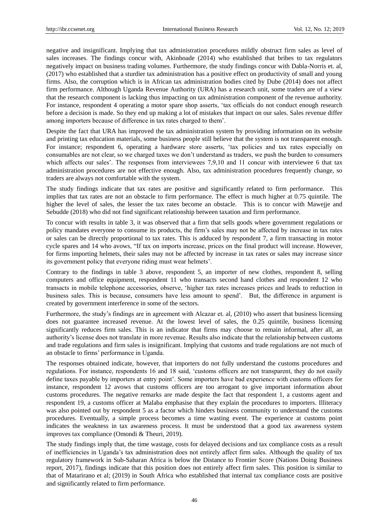negative and insignificant. Implying that tax administration procedures mildly obstruct firm sales as level of sales increases. The findings concur with, Akinboade (2014) who established that bribes to tax regulators negatively impact on business trading volumes. Furthermore, the study findings concur with Dabla-Norris et. al, (2017) who established that a sturdier tax administration has a positive effect on productivity of small and young firms. Also, the corruption which is in African tax administration bodies cited by Dube (2014) does not affect firm performance. Although Uganda Revenue Authority (URA) has a research unit, some traders are of a view that the research component is lacking thus impacting on tax administration component of the revenue authority. For instance, respondent 4 operating a motor spare shop asserts, 'tax officials do not conduct enough research before a decision is made. So they end up making a lot of mistakes that impact on our sales. Sales revenue differ among importers because of difference in tax rates charged to them'.

Despite the fact that URA has improved the tax administration system by providing information on its website and printing tax education materials, some business people still believe that the system is not transparent enough. For instance; respondent 6, operating a hardware store asserts, 'tax policies and tax rates especially on consumables are not clear, so we charged taxes we don't understand as traders, we push the burden to consumers which affects our sales'. The responses from interviewees 7,9,10 and 11 concur with interviewee 6 that tax administration procedures are not effective enough. Also, tax administration procedures frequently change, so traders are always not comfortable with the system.

The study findings indicate that tax rates are positive and significantly related to firm performance. This implies that tax rates are not an obstacle to firm performance. The effect is much higher at 0.75 quintile. The higher the level of sales, the lesser the tax rates become an obstacle. This is to concur with Mawejje and Sebudde (2018) who did not find significant relationship between taxation and firm performance.

To concur with results in table 3, it was observed that a firm that sells goods where government regulations or policy mandates everyone to consume its products, the firm's sales may not be affected by increase in tax rates or sales can be directly proportional to tax rates. This is adduced by respondent 7, a firm transacting in motor cycle spares and 14 who avows, "If tax on imports increase, prices on the final product will increase. However, for firms importing helmets, their sales may not be affected by increase in tax rates or sales may increase since its government policy that everyone riding must wear helmets'.

Contrary to the findings in table 3 above, respondent 5, an importer of new clothes, respondent 8, selling computers and office equipment, respondent 11 who transacts second hand clothes and respondent 12 who transacts in mobile telephone accessories, observe, 'higher tax rates increases prices and leads to reduction in business sales. This is because, consumers have less amount to spend'. But, the difference in argument is created by government interference in some of the sectors.

Furthermore, the study's findings are in agreement with Alcazar et. al, (2010) who assert that business licensing does not guarantee increased revenue. At the lowest level of sales, the 0.25 quintile, business licensing significantly reduces firm sales. This is an indicator that firms may choose to remain informal, after all, an authority's license does not translate in more revenue. Results also indicate that the relationship between customs and trade regulations and firm sales is insignificant. Implying that customs and trade regulations are not much of an obstacle to firms' performance in Uganda.

The responses obtained indicate, however, that importers do not fully understand the customs procedures and regulations. For instance, respondents 16 and 18 said, 'customs officers are not transparent, they do not easily define taxes payable by importers at entry point'. Some importers have bad experience with customs officers for instance, respondent 12 avows that customs officers are too arrogant to give important information about customs procedures. The negative remarks are made despite the fact that respondent 1, a customs agent and respondent 19, a customs officer at Malaba emphasise that they explain the procedures to importers. Illiteracy was also pointed out by respondent 5 as a factor which hinders business community to understand the customs procedures. Eventually, a simple process becomes a time wasting event. The experience at customs point indicates the weakness in tax awareness process. It must be understood that a good tax awareness system improves tax compliance (Omondi & Theuri, 2019).

The study findings imply that, the time wastage, costs for delayed decisions and tax compliance costs as a result of inefficiencies in Uganda's tax administration does not entirely affect firm sales. Although the quality of tax regulatory framework in Sub-Saharan Africa is below the Distance to Frontier Score (Nations Doing Business report, 2017), findings indicate that this position does not entirely affect firm sales. This position is similar to that of Matarirano et al; (2019) in South Africa who established that internal tax compliance costs are positive and significantly related to firm performance.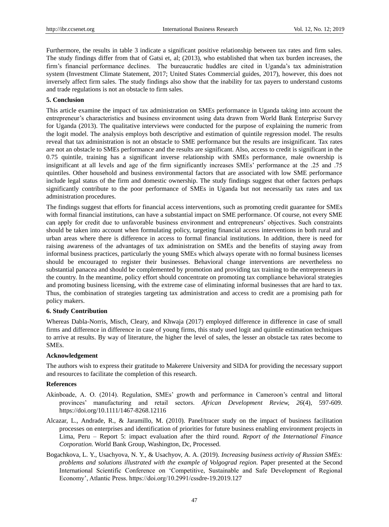Furthermore, the results in table 3 indicate a significant positive relationship between tax rates and firm sales. The study findings differ from that of Gatsi et, al; (2013), who established that when tax burden increases, the firm's financial performance declines. The bureaucratic huddles are cited in Uganda's tax administration system (Investment Climate Statement, 2017; United States Commercial guides, 2017), however, this does not inversely affect firm sales. The study findings also show that the inability for tax payers to understand customs and trade regulations is not an obstacle to firm sales.

### **5. Conclusion**

This article examine the impact of tax administration on SMEs performance in Uganda taking into account the entrepreneur's characteristics and business environment using data drawn from World Bank Enterprise Survey for Uganda (2013). The qualitative interviews were conducted for the purpose of explaining the numeric from the logit model. The analysis employs both descriptive and estimation of quintile regression model. The results reveal that tax administration is not an obstacle to SME performance but the results are insignificant. Tax rates are not an obstacle to SMEs performance and the results are significant. Also, access to credit is significant in the 0.75 quintile, training has a significant inverse relationship with SMEs performance, male ownership is insignificant at all levels and age of the firm significantly increases SMEs' performance at the .25 and .75 quintiles. Other household and business environmental factors that are associated with low SME performance include legal status of the firm and domestic ownership. The study findings suggest that other factors perhaps significantly contribute to the poor performance of SMEs in Uganda but not necessarily tax rates and tax administration procedures.

The findings suggest that efforts for financial access interventions, such as promoting credit guarantee for SMEs with formal financial institutions, can have a substantial impact on SME performance. Of course, not every SME can apply for credit due to unfavorable business environment and entrepreneurs' objectives. Such constraints should be taken into account when formulating policy, targeting financial access interventions in both rural and urban areas where there is difference in access to formal financial institutions. In addition, there is need for raising awareness of the advantages of tax administration on SMEs and the benefits of staying away from informal business practices, particularly the young SMEs which always operate with no formal business licenses should be encouraged to register their businesses. Behavioral change interventions are nevertheless no substantial panacea and should be complemented by promotion and providing tax training to the entrepreneurs in the country. In the meantime, policy effort should concentrate on promoting tax compliance behavioral strategies and promoting business licensing, with the extreme case of eliminating informal businesses that are hard to tax. Thus, the combination of strategies targeting tax administration and access to credit are a promising path for policy makers.

#### **6. Study Contribution**

Whereas Dabla-Norris, Misch, Cleary, and Khwaja (2017) employed difference in difference in case of small firms and difference in difference in case of young firms, this study used logit and quintile estimation techniques to arrive at results. By way of literature, the higher the level of sales, the lesser an obstacle tax rates become to SMEs.

## **Acknowledgement**

The authors wish to express their gratitude to Makerere University and SIDA for providing the necessary support and resources to facilitate the completion of this research.

#### **References**

- Akinboade, A. O. (2014). Regulation, SMEs' growth and performance in Cameroon's central and littoral provinces' manufacturing and retail sectors. *African Development Review, 26*(4), 597-609. https://doi.org/10.1111/1467-8268.12116
- Alcazar, L., Andrade, R., & Jaramillo, M. (2010). Panel/tracer study on the impact of business facilitation processes on enterprises and identification of priorities for future business enabling environment projects in Lima, Peru – Report 5: impact evaluation after the third round. *Report of the International Finance Co*r*poration.* World Bank Group, Washington, Dc, Processed.
- Bogachkova, L. Y., Usachyova, N. Y., & Usachyov, A. A. (2019). *Increasing business activity of Russian SMEs: problems and solutions illustrated with the example of Volgograd region.* Paper presented at the Second International Scientific Conference on 'Competitive, Sustainable and Safe Development of Regional Economy', Atlantic Press. https://doi.org/10.2991/cssdre-19.2019.127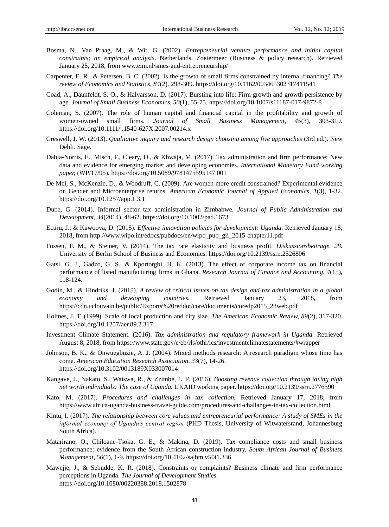- Bosma, N., Van Praag, M., & Wit, G. (2002). *Entrepreneurial venture performance and initial capital constraints; an empirical analysis*. Netherlands, Zoetermeer (Business & policy research). Retrieved January 25, 2018, from www.eim.nl/smes-and-entrepreneurship/
- Carpenter, E. R., & Petersen, B. C. (2002). Is the growth of small firms constrained by internal financing? *The review of Economics and Statistics, 84*(2). 298-309. https://doi.org/10.1162/003465302317411541
- Coad, A., Daunfeldt, S. O., & Halvarsson, D. (2017). Bursting into life: Firm growth and growth persistence by age. *Journal of Small Business Economics, 50*(1), 55-75. https://doi.org/10.1007/s11187-017-9872-8
- Coleman, S. (2007). The role of human capital and financial capital in the profitability and growth of women-owned small firms. *Journal of Small Business Management, 45*(3), 303-319. https://doi.org/10.1111/j.1540-627X.2007.00214.x
- Creswell, J. W. (2013). *Qualitative inquiry and research design choosing among five approaches* (3rd ed.). New Dehli. Sage.
- Dabla-Norris, E., Misch, F., Cleary, D., & Khwaja, M. (2017). Tax administration and firm performance: New data and evidence for emerging market and developing economies. *International Monetary Fund working paper,* (WP/17/95). https://doi.org/10.5089/9781475595147.001
- De Mel, S., McKenzie, D., & Woodruff, C. (2009). Are women more credit constrained? Experimental evidence on Gender and Microenterprise returns. *American Economic Journal of Applied Economics, 1*(3), 1-32. https://doi.org/10.1257/app.1.3.1
- Dube, G. (2014). Informal sector tax administration in Zimbabwe. *Journal of Public Administration and Development, 34*(2014), 48-62. https://doi.org/10.1002/pad.1673
- Ecuru, J., & Kawooya, D. (2015). *Effective innovation policies for development: Uganda.* Retrieved January 18, 2018, from http://www.wipo.int/edocs/pubdocs/en/wipo\_pub\_gii\_2015-chapter11.pdf
- Fossen, F. M., & Steiner, V. (2014). The tax rate elasticity and business profit. *Diskussionsbeitrage, 28.* University of Berlin School of Business and Economics. https://doi.org/10.2139/ssrn.2526806
- Gatsi, G. J., Gadzo, G. S., & Kportorgbi, H. K. (2013). The effect of corporate income tax on financial performance of listed manufacturing firms in Ghana. *Research Journal of Finance and Accounting, 4*(15), 118-124.
- Godin, M., & Hindriks, J. (2015). *A review of critical issues on tax design and tax administration in a global economy and developing countries.* Retrieved January 23, 2018, from https://cdn.uclouvain.be/public/Exports%20reddot/core/documents/coredp2015\_28web.pdf
- Holmes, J. T. (1999). Scale of local production and city size. *The American Economic Review, 89*(2), 317-320. https://doi.org/10.1257/aer.89.2.317
- Investment Climate Statement. (2016). *Tax administration and regulatory framework in Uganda.* Retrieved August 8, 2018, from https://www.state.gov/e/eb/rls/othr/ics/investmentclimatestatements/#wrapper
- Johnson, B. K., & Onwuegbuzie, A. J. (2004). Mixed methods research: A research paradigm whose time has come. *American Education Research Association, 33*(7), 14-26. https://doi.org/10.3102/0013189X033007014
- Kangave, J., Nakato, S., Waiswa, R., & Zzimbe, L. P. (2016). *Boosting revenue collection through taxing high net worth individuals: The case of Uganda.* UKAID working paper. https://doi.org/10.2139/ssrn.2776590
- Kato, M. (2017). *Procedures and challenges in tax collection.* Retrieved January 17, 2018, from https://www.africa-uganda-business-travel-guide.com/procedures-and-challanges-in-tax-collection.html
- Kintu, I. (2017). *The relationship between core values and entrepreneurial performance: A study of SMEs in the informal economy of Uganda's central region* (PHD Thesis, University of Witwatersrand, Johannesburg South Africa).
- Matarirano, O., Chiloane-Tsoka, G. E., & Makina, D. (2019). Tax compliance costs and small business performance: evidence from the South African construction industry. *South African Journal of Business Management, 50*(1), 1-9. https://doi.org/10.4102/sajbm.v50i1.336
- Mawejje, J., & Sebudde, K. R. (2018). Constraints or complaints? Business climate and firm performance perceptions in Uganda. *The Journal of Development Studies.* https://doi.org/10.1080/00220388.2018.1502878